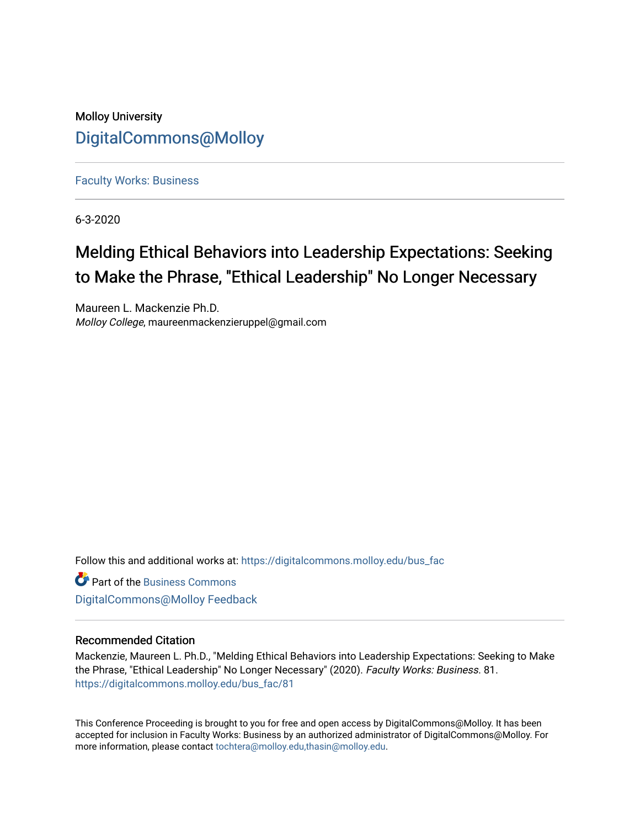# Molloy University [DigitalCommons@Molloy](https://digitalcommons.molloy.edu/)

[Faculty Works: Business](https://digitalcommons.molloy.edu/bus_fac) 

6-3-2020

# Melding Ethical Behaviors into Leadership Expectations: Seeking to Make the Phrase, "Ethical Leadership" No Longer Necessary

Maureen L. Mackenzie Ph.D. Molloy College, maureenmackenzieruppel@gmail.com

Follow this and additional works at: [https://digitalcommons.molloy.edu/bus\\_fac](https://digitalcommons.molloy.edu/bus_fac?utm_source=digitalcommons.molloy.edu%2Fbus_fac%2F81&utm_medium=PDF&utm_campaign=PDFCoverPages)

**C** Part of the [Business Commons](https://network.bepress.com/hgg/discipline/622?utm_source=digitalcommons.molloy.edu%2Fbus_fac%2F81&utm_medium=PDF&utm_campaign=PDFCoverPages) [DigitalCommons@Molloy Feedback](https://molloy.libwizard.com/f/dcfeedback)

#### Recommended Citation

Mackenzie, Maureen L. Ph.D., "Melding Ethical Behaviors into Leadership Expectations: Seeking to Make the Phrase, "Ethical Leadership" No Longer Necessary" (2020). Faculty Works: Business. 81. [https://digitalcommons.molloy.edu/bus\\_fac/81](https://digitalcommons.molloy.edu/bus_fac/81?utm_source=digitalcommons.molloy.edu%2Fbus_fac%2F81&utm_medium=PDF&utm_campaign=PDFCoverPages) 

This Conference Proceeding is brought to you for free and open access by DigitalCommons@Molloy. It has been accepted for inclusion in Faculty Works: Business by an authorized administrator of DigitalCommons@Molloy. For more information, please contact [tochtera@molloy.edu,thasin@molloy.edu.](mailto:tochtera@molloy.edu,thasin@molloy.edu)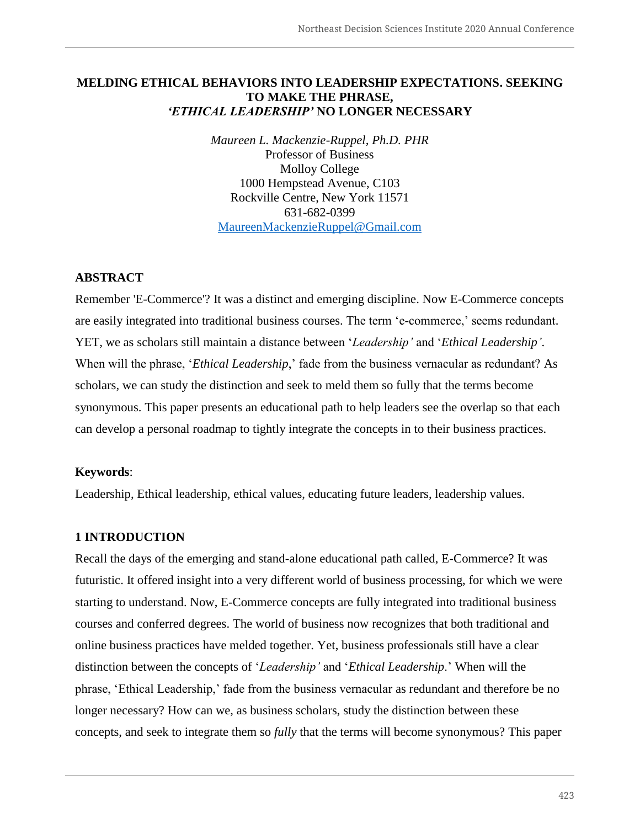# **MELDING ETHICAL BEHAVIORS INTO LEADERSHIP EXPECTATIONS. SEEKING TO MAKE THE PHRASE,**  *'ETHICAL LEADERSHIP'* **NO LONGER NECESSARY**

*Maureen L. Mackenzie-Ruppel, Ph.D. PHR* Professor of Business Molloy College 1000 Hempstead Avenue, C103 Rockville Centre, New York 11571 631-682-0399 MaureenMackenzieRuppel@Gmail.com

# **ABSTRACT**

Remember 'E-Commerce'? It was a distinct and emerging discipline. Now E-Commerce concepts are easily integrated into traditional business courses. The term 'e-commerce,' seems redundant. YET, we as scholars still maintain a distance between '*Leadership'* and '*Ethical Leadership'*. When will the phrase, '*Ethical Leadership*,' fade from the business vernacular as redundant? As scholars, we can study the distinction and seek to meld them so fully that the terms become synonymous. This paper presents an educational path to help leaders see the overlap so that each can develop a personal roadmap to tightly integrate the concepts in to their business practices.

## **Keywords**:

Leadership, Ethical leadership, ethical values, educating future leaders, leadership values.

## **1 INTRODUCTION**

Recall the days of the emerging and stand-alone educational path called, E-Commerce? It was futuristic. It offered insight into a very different world of business processing, for which we were starting to understand. Now, E-Commerce concepts are fully integrated into traditional business courses and conferred degrees. The world of business now recognizes that both traditional and online business practices have melded together. Yet, business professionals still have a clear distinction between the concepts of '*Leadership'* and '*Ethical Leadership*.' When will the phrase, 'Ethical Leadership,' fade from the business vernacular as redundant and therefore be no longer necessary? How can we, as business scholars, study the distinction between these concepts, and seek to integrate them so *fully* that the terms will become synonymous? This paper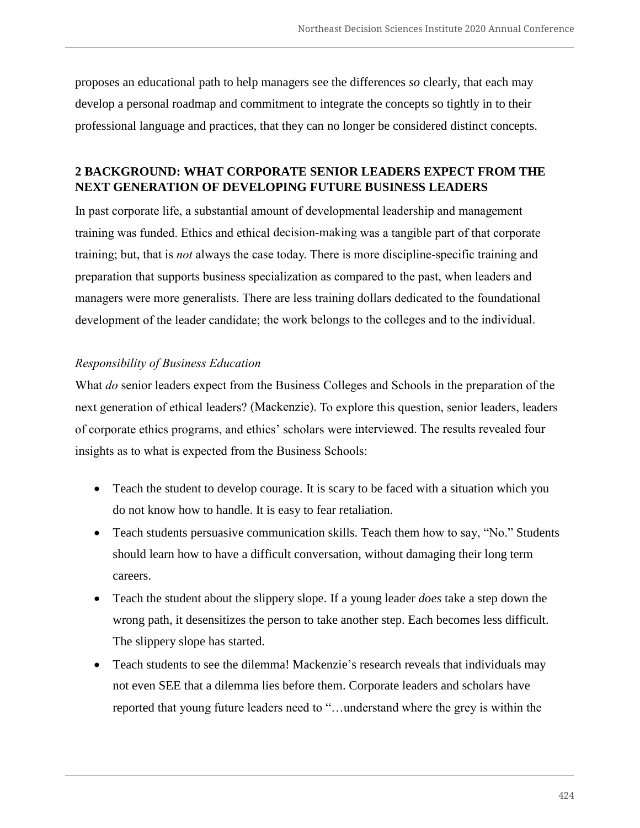proposes an educational path to help managers see the differences *so* clearly, that each may develop a personal roadmap and commitment to integrate the concepts so tightly in to their professional language and practices, that they can no longer be considered distinct concepts.

## **2 BACKGROUND: WHAT CORPORATE SENIOR LEADERS EXPECT FROM THE NEXT GENERATION OF DEVELOPING FUTURE BUSINESS LEADERS**

In past corporate life, a substantial amount of developmental leadership and management training was funded. Ethics and ethical decision-making was a tangible part of that corporate training; but, that is *not* always the case today. There is more discipline-specific training and preparation that supports business specialization as compared to the past, when leaders and managers were more generalists. There are less training dollars dedicated to the foundational development of the leader candidate; the work belongs to the colleges and to the individual.

#### *Responsibility of Business Education*

What *do* senior leaders expect from the Business Colleges and Schools in the preparation of the next generation of ethical leaders? (Mackenzie). To explore this question, senior leaders, leaders of corporate ethics programs, and ethics' scholars were interviewed. The results revealed four insights as to what is expected from the Business Schools:

- Teach the student to develop courage. It is scary to be faced with a situation which you do not know how to handle. It is easy to fear retaliation.
- Teach students persuasive communication skills. Teach them how to say, "No." Students should learn how to have a difficult conversation, without damaging their long term careers.
- Teach the student about the slippery slope. If a young leader *does* take a step down the wrong path, it desensitizes the person to take another step. Each becomes less difficult. The slippery slope has started.
- Teach students to see the dilemma! Mackenzie's research reveals that individuals may not even SEE that a dilemma lies before them. Corporate leaders and scholars have reported that young future leaders need to "…understand where the grey is within the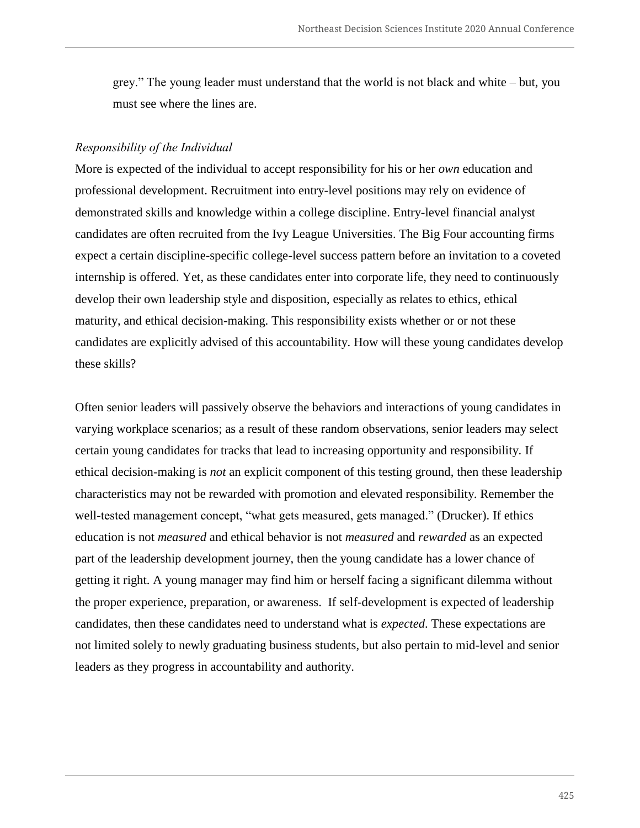grey." The young leader must understand that the world is not black and white – but, you must see where the lines are.

#### *Responsibility of the Individual*

More is expected of the individual to accept responsibility for his or her *own* education and professional development. Recruitment into entry-level positions may rely on evidence of demonstrated skills and knowledge within a college discipline. Entry-level financial analyst candidates are often recruited from the Ivy League Universities. The Big Four accounting firms expect a certain discipline-specific college-level success pattern before an invitation to a coveted internship is offered. Yet, as these candidates enter into corporate life, they need to continuously develop their own leadership style and disposition, especially as relates to ethics, ethical maturity, and ethical decision-making. This responsibility exists whether or or not these candidates are explicitly advised of this accountability. How will these young candidates develop these skills?

Often senior leaders will passively observe the behaviors and interactions of young candidates in varying workplace scenarios; as a result of these random observations, senior leaders may select certain young candidates for tracks that lead to increasing opportunity and responsibility. If ethical decision-making is *not* an explicit component of this testing ground, then these leadership characteristics may not be rewarded with promotion and elevated responsibility. Remember the well-tested management concept, "what gets measured, gets managed." (Drucker). If ethics education is not *measured* and ethical behavior is not *measured* and *rewarded* as an expected part of the leadership development journey, then the young candidate has a lower chance of getting it right. A young manager may find him or herself facing a significant dilemma without the proper experience, preparation, or awareness. If self-development is expected of leadership candidates, then these candidates need to understand what is *expected*. These expectations are not limited solely to newly graduating business students, but also pertain to mid-level and senior leaders as they progress in accountability and authority.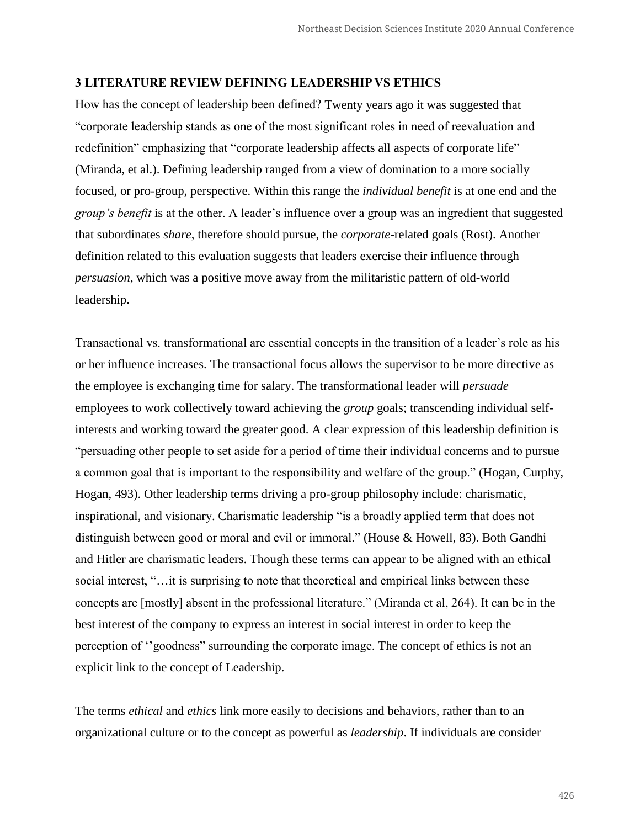#### **3 LITERATURE REVIEW DEFINING LEADERSHIP VS ETHICS**

How has the concept of leadership been defined? Twenty years ago it was suggested that "corporate leadership stands as one of the most significant roles in need of reevaluation and redefinition" emphasizing that "corporate leadership affects all aspects of corporate life" (Miranda, et al.). Defining leadership ranged from a view of domination to a more socially focused, or pro-group, perspective. Within this range the *individual benefit* is at one end and the *group's benefit* is at the other. A leader's influence over a group was an ingredient that suggested that subordinates *share*, therefore should pursue, the *corporate*-related goals (Rost). Another definition related to this evaluation suggests that leaders exercise their influence through *persuasion*, which was a positive move away from the militaristic pattern of old-world leadership.

Transactional vs. transformational are essential concepts in the transition of a leader's role as his or her influence increases. The transactional focus allows the supervisor to be more directive as the employee is exchanging time for salary. The transformational leader will *persuade* employees to work collectively toward achieving the *group* goals; transcending individual selfinterests and working toward the greater good. A clear expression of this leadership definition is "persuading other people to set aside for a period of time their individual concerns and to pursue a common goal that is important to the responsibility and welfare of the group." (Hogan, Curphy, Hogan, 493). Other leadership terms driving a pro-group philosophy include: charismatic, inspirational, and visionary. Charismatic leadership "is a broadly applied term that does not distinguish between good or moral and evil or immoral." (House & Howell, 83). Both Gandhi and Hitler are charismatic leaders. Though these terms can appear to be aligned with an ethical social interest, "...it is surprising to note that theoretical and empirical links between these concepts are [mostly] absent in the professional literature." (Miranda et al, 264). It can be in the best interest of the company to express an interest in social interest in order to keep the perception of ''goodness" surrounding the corporate image. The concept of ethics is not an explicit link to the concept of Leadership.

The terms *ethical* and *ethics* link more easily to decisions and behaviors, rather than to an organizational culture or to the concept as powerful as *leadership*. If individuals are consider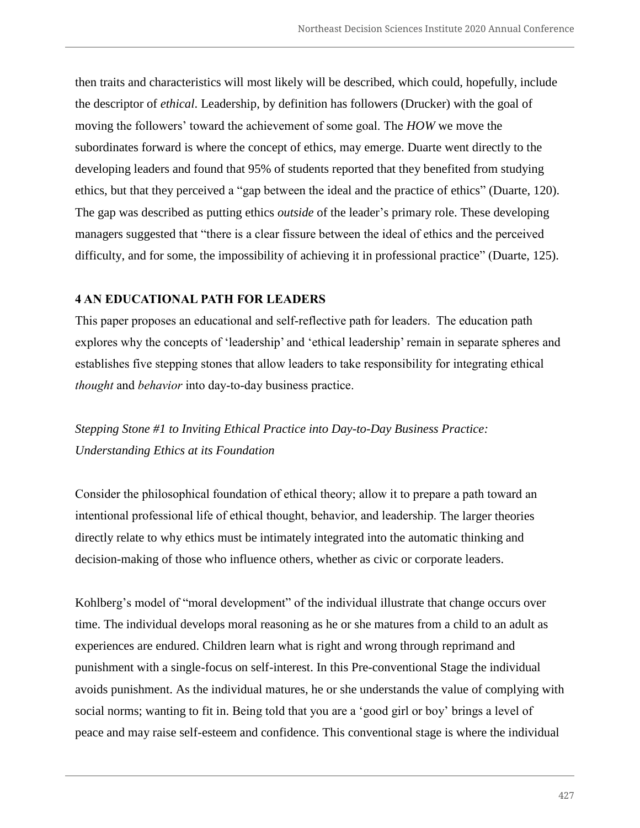then traits and characteristics will most likely will be described, which could, hopefully, include the descriptor of *ethical*. Leadership, by definition has followers (Drucker) with the goal of moving the followers' toward the achievement of some goal. The *HOW* we move the subordinates forward is where the concept of ethics, may emerge. Duarte went directly to the developing leaders and found that 95% of students reported that they benefited from studying ethics, but that they perceived a "gap between the ideal and the practice of ethics" (Duarte, 120). The gap was described as putting ethics *outside* of the leader's primary role. These developing managers suggested that "there is a clear fissure between the ideal of ethics and the perceived difficulty, and for some, the impossibility of achieving it in professional practice" (Duarte, 125).

#### **4 AN EDUCATIONAL PATH FOR LEADERS**

This paper proposes an educational and self-reflective path for leaders. The education path explores why the concepts of 'leadership' and 'ethical leadership' remain in separate spheres and establishes five stepping stones that allow leaders to take responsibility for integrating ethical *thought* and *behavior* into day-to-day business practice.

*Stepping Stone #1 to Inviting Ethical Practice into Day-to-Day Business Practice: Understanding Ethics at its Foundation*

Consider the philosophical foundation of ethical theory; allow it to prepare a path toward an intentional professional life of ethical thought, behavior, and leadership. The larger theories directly relate to why ethics must be intimately integrated into the automatic thinking and decision-making of those who influence others, whether as civic or corporate leaders.

Kohlberg's model of "moral development" of the individual illustrate that change occurs over time. The individual develops moral reasoning as he or she matures from a child to an adult as experiences are endured. Children learn what is right and wrong through reprimand and punishment with a single-focus on self-interest. In this Pre-conventional Stage the individual avoids punishment. As the individual matures, he or she understands the value of complying with social norms; wanting to fit in. Being told that you are a 'good girl or boy' brings a level of peace and may raise self-esteem and confidence. This conventional stage is where the individual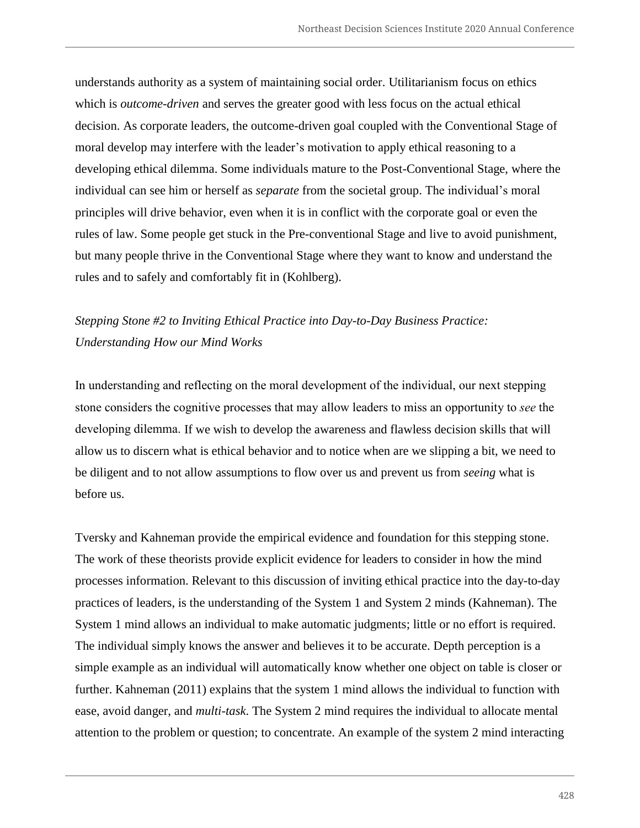understands authority as a system of maintaining social order. Utilitarianism focus on ethics which is *outcome-driven* and serves the greater good with less focus on the actual ethical decision. As corporate leaders, the outcome-driven goal coupled with the Conventional Stage of moral develop may interfere with the leader's motivation to apply ethical reasoning to a developing ethical dilemma. Some individuals mature to the Post-Conventional Stage, where the individual can see him or herself as *separate* from the societal group. The individual's moral principles will drive behavior, even when it is in conflict with the corporate goal or even the rules of law. Some people get stuck in the Pre-conventional Stage and live to avoid punishment, but many people thrive in the Conventional Stage where they want to know and understand the rules and to safely and comfortably fit in (Kohlberg).

# *Stepping Stone #2 to Inviting Ethical Practice into Day-to-Day Business Practice: Understanding How our Mind Works*

In understanding and reflecting on the moral development of the individual, our next stepping stone considers the cognitive processes that may allow leaders to miss an opportunity to *see* the developing dilemma. If we wish to develop the awareness and flawless decision skills that will allow us to discern what is ethical behavior and to notice when are we slipping a bit, we need to be diligent and to not allow assumptions to flow over us and prevent us from *seeing* what is before us.

Tversky and Kahneman provide the empirical evidence and foundation for this stepping stone. The work of these theorists provide explicit evidence for leaders to consider in how the mind processes information. Relevant to this discussion of inviting ethical practice into the day-to-day practices of leaders, is the understanding of the System 1 and System 2 minds (Kahneman). The System 1 mind allows an individual to make automatic judgments; little or no effort is required. The individual simply knows the answer and believes it to be accurate. Depth perception is a simple example as an individual will automatically know whether one object on table is closer or further. Kahneman (2011) explains that the system 1 mind allows the individual to function with ease, avoid danger, and *multi-task*. The System 2 mind requires the individual to allocate mental attention to the problem or question; to concentrate. An example of the system 2 mind interacting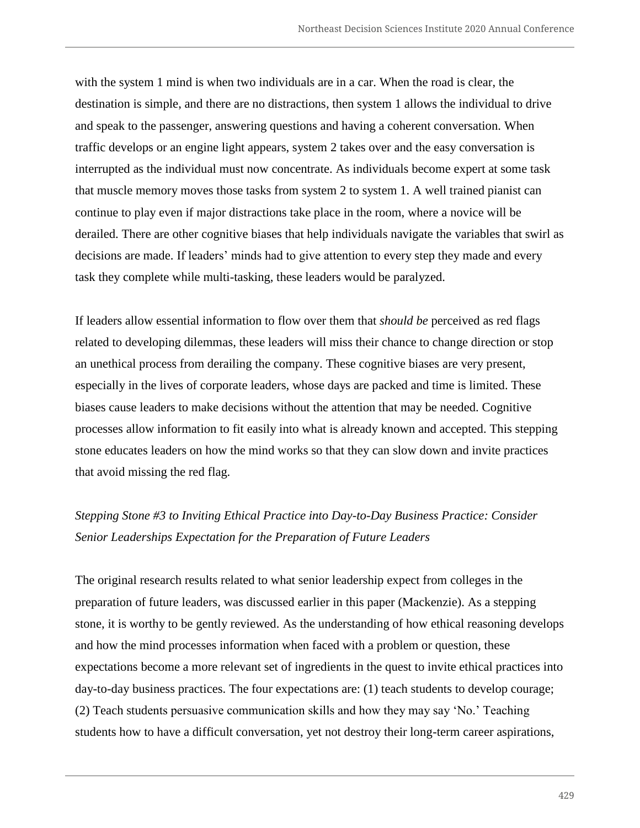with the system 1 mind is when two individuals are in a car. When the road is clear, the destination is simple, and there are no distractions, then system 1 allows the individual to drive and speak to the passenger, answering questions and having a coherent conversation. When traffic develops or an engine light appears, system 2 takes over and the easy conversation is interrupted as the individual must now concentrate. As individuals become expert at some task that muscle memory moves those tasks from system 2 to system 1. A well trained pianist can continue to play even if major distractions take place in the room, where a novice will be derailed. There are other cognitive biases that help individuals navigate the variables that swirl as decisions are made. If leaders' minds had to give attention to every step they made and every task they complete while multi-tasking, these leaders would be paralyzed.

If leaders allow essential information to flow over them that *should be* perceived as red flags related to developing dilemmas, these leaders will miss their chance to change direction or stop an unethical process from derailing the company. These cognitive biases are very present, especially in the lives of corporate leaders, whose days are packed and time is limited. These biases cause leaders to make decisions without the attention that may be needed. Cognitive processes allow information to fit easily into what is already known and accepted. This stepping stone educates leaders on how the mind works so that they can slow down and invite practices that avoid missing the red flag.

# *Stepping Stone #3 to Inviting Ethical Practice into Day-to-Day Business Practice: Consider Senior Leaderships Expectation for the Preparation of Future Leaders*

The original research results related to what senior leadership expect from colleges in the preparation of future leaders, was discussed earlier in this paper (Mackenzie). As a stepping stone, it is worthy to be gently reviewed. As the understanding of how ethical reasoning develops and how the mind processes information when faced with a problem or question, these expectations become a more relevant set of ingredients in the quest to invite ethical practices into day-to-day business practices. The four expectations are: (1) teach students to develop courage; (2) Teach students persuasive communication skills and how they may say 'No.' Teaching students how to have a difficult conversation, yet not destroy their long-term career aspirations,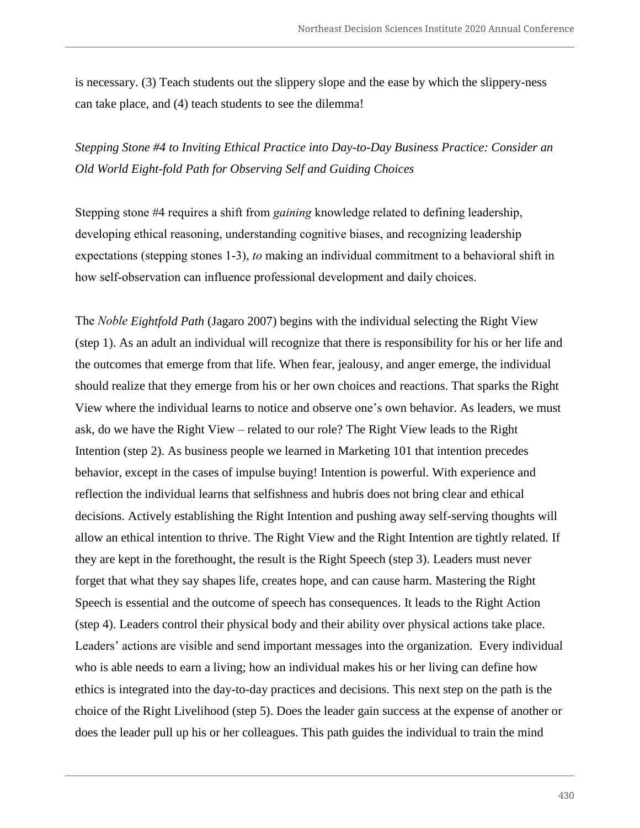is necessary. (3) Teach students out the slippery slope and the ease by which the slippery-ness can take place, and (4) teach students to see the dilemma!

*Stepping Stone #4 to Inviting Ethical Practice into Day-to-Day Business Practice: Consider an Old World Eight-fold Path for Observing Self and Guiding Choices*

Stepping stone #4 requires a shift from *gaining* knowledge related to defining leadership, developing ethical reasoning, understanding cognitive biases, and recognizing leadership expectations (stepping stones 1-3), *to* making an individual commitment to a behavioral shift in how self-observation can influence professional development and daily choices.

The *Noble Eightfold Path* (Jagaro 2007) begins with the individual selecting the Right View (step 1). As an adult an individual will recognize that there is responsibility for his or her life and the outcomes that emerge from that life. When fear, jealousy, and anger emerge, the individual should realize that they emerge from his or her own choices and reactions. That sparks the Right View where the individual learns to notice and observe one's own behavior. As leaders, we must ask, do we have the Right View – related to our role? The Right View leads to the Right Intention (step 2). As business people we learned in Marketing 101 that intention precedes behavior, except in the cases of impulse buying! Intention is powerful. With experience and reflection the individual learns that selfishness and hubris does not bring clear and ethical decisions. Actively establishing the Right Intention and pushing away self-serving thoughts will allow an ethical intention to thrive. The Right View and the Right Intention are tightly related. If they are kept in the forethought, the result is the Right Speech (step 3). Leaders must never forget that what they say shapes life, creates hope, and can cause harm. Mastering the Right Speech is essential and the outcome of speech has consequences. It leads to the Right Action (step 4). Leaders control their physical body and their ability over physical actions take place. Leaders' actions are visible and send important messages into the organization. Every individual who is able needs to earn a living; how an individual makes his or her living can define how ethics is integrated into the day-to-day practices and decisions. This next step on the path is the choice of the Right Livelihood (step 5). Does the leader gain success at the expense of another or does the leader pull up his or her colleagues. This path guides the individual to train the mind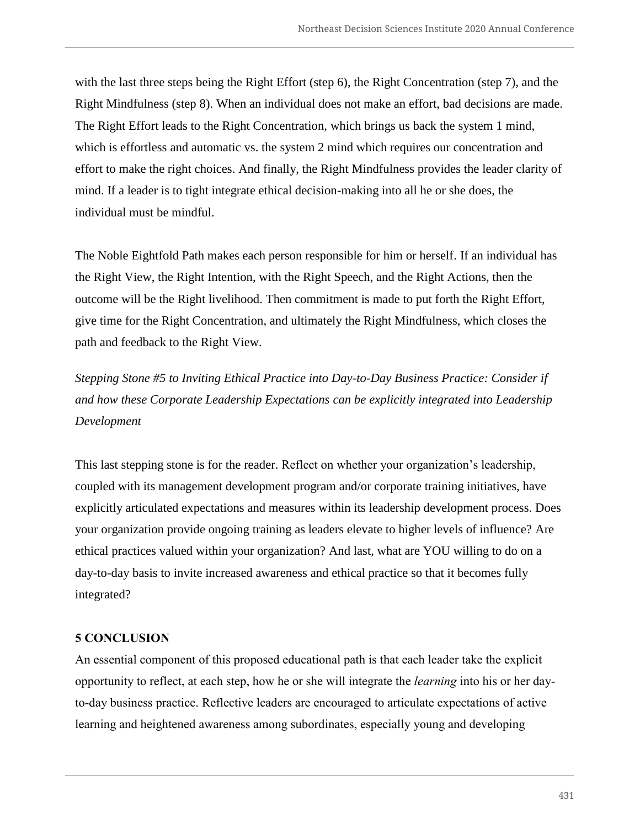with the last three steps being the Right Effort (step 6), the Right Concentration (step 7), and the Right Mindfulness (step 8). When an individual does not make an effort, bad decisions are made. The Right Effort leads to the Right Concentration, which brings us back the system 1 mind, which is effortless and automatic vs. the system 2 mind which requires our concentration and effort to make the right choices. And finally, the Right Mindfulness provides the leader clarity of mind. If a leader is to tight integrate ethical decision-making into all he or she does, the individual must be mindful.

The Noble Eightfold Path makes each person responsible for him or herself. If an individual has the Right View, the Right Intention, with the Right Speech, and the Right Actions, then the outcome will be the Right livelihood. Then commitment is made to put forth the Right Effort, give time for the Right Concentration, and ultimately the Right Mindfulness, which closes the path and feedback to the Right View.

*Stepping Stone #5 to Inviting Ethical Practice into Day-to-Day Business Practice: Consider if and how these Corporate Leadership Expectations can be explicitly integrated into Leadership Development*

This last stepping stone is for the reader. Reflect on whether your organization's leadership, coupled with its management development program and/or corporate training initiatives, have explicitly articulated expectations and measures within its leadership development process. Does your organization provide ongoing training as leaders elevate to higher levels of influence? Are ethical practices valued within your organization? And last, what are YOU willing to do on a day-to-day basis to invite increased awareness and ethical practice so that it becomes fully integrated?

## **5 CONCLUSION**

An essential component of this proposed educational path is that each leader take the explicit opportunity to reflect, at each step, how he or she will integrate the *learning* into his or her dayto-day business practice. Reflective leaders are encouraged to articulate expectations of active learning and heightened awareness among subordinates, especially young and developing